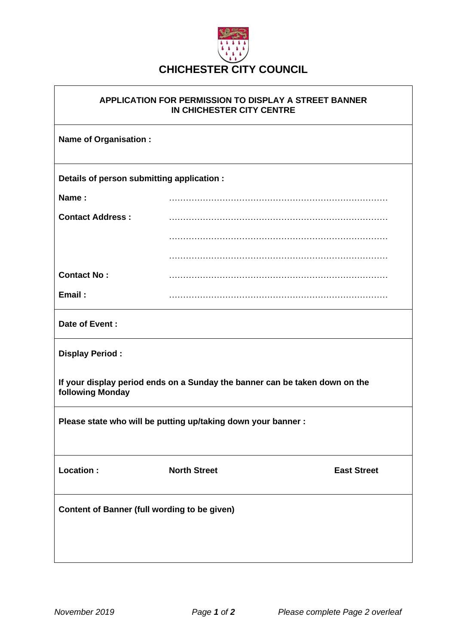

## **APPLICATION FOR PERMISSION TO DISPLAY A STREET BANNER IN CHICHESTER CITY CENTRE**

| <b>Name of Organisation:</b>                                                                    |                     |  |                    |  |
|-------------------------------------------------------------------------------------------------|---------------------|--|--------------------|--|
| Details of person submitting application :                                                      |                     |  |                    |  |
| Name:                                                                                           |                     |  |                    |  |
| <b>Contact Address:</b>                                                                         |                     |  |                    |  |
|                                                                                                 |                     |  |                    |  |
|                                                                                                 |                     |  |                    |  |
| <b>Contact No:</b>                                                                              |                     |  |                    |  |
| Email:                                                                                          |                     |  |                    |  |
| Date of Event:                                                                                  |                     |  |                    |  |
| <b>Display Period:</b>                                                                          |                     |  |                    |  |
| If your display period ends on a Sunday the banner can be taken down on the<br>following Monday |                     |  |                    |  |
| Please state who will be putting up/taking down your banner :                                   |                     |  |                    |  |
| Location :                                                                                      | <b>North Street</b> |  | <b>East Street</b> |  |
| <b>Content of Banner (full wording to be given)</b>                                             |                     |  |                    |  |
|                                                                                                 |                     |  |                    |  |